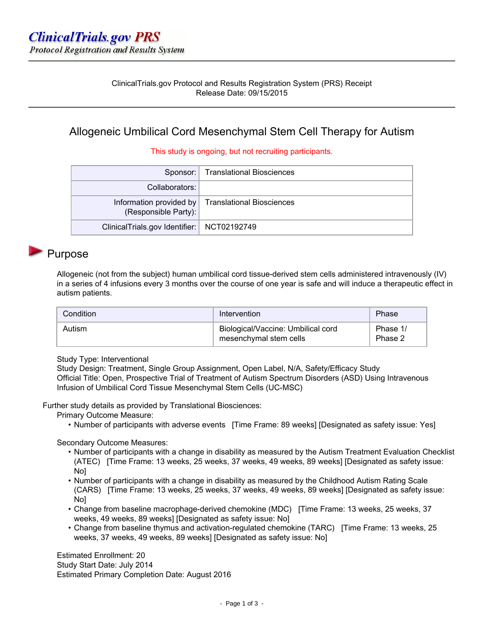### ClinicalTrials.gov Protocol and Results Registration System (PRS) Receipt Release Date: 09/15/2015

### Allogeneic Umbilical Cord Mesenchymal Stem Cell Therapy for Autism

#### This study is ongoing, but not recruiting participants.

|                                              | Sponsor:   Translational Biosciences              |
|----------------------------------------------|---------------------------------------------------|
| Collaborators:                               |                                                   |
| (Responsible Party):                         | Information provided by Translational Biosciences |
| ClinicalTrials.gov Identifier:   NCT02192749 |                                                   |

### Purpose

Allogeneic (not from the subject) human umbilical cord tissue-derived stem cells administered intravenously (IV) in a series of 4 infusions every 3 months over the course of one year is safe and will induce a therapeutic effect in autism patients.

| Condition | Intervention                                                 | Phase               |
|-----------|--------------------------------------------------------------|---------------------|
| Autism    | Biological/Vaccine: Umbilical cord<br>mesenchymal stem cells | Phase 1/<br>Phase 2 |

#### Study Type: Interventional

Study Design: Treatment, Single Group Assignment, Open Label, N/A, Safety/Efficacy Study Official Title: Open, Prospective Trial of Treatment of Autism Spectrum Disorders (ASD) Using Intravenous Infusion of Umbilical Cord Tissue Mesenchymal Stem Cells (UC-MSC)

Further study details as provided by Translational Biosciences:

Primary Outcome Measure:

• Number of participants with adverse events [Time Frame: 89 weeks] [Designated as safety issue: Yes]

#### Secondary Outcome Measures:

- Number of participants with a change in disability as measured by the Autism Treatment Evaluation Checklist (ATEC) [Time Frame: 13 weeks, 25 weeks, 37 weeks, 49 weeks, 89 weeks] [Designated as safety issue: No<sub>1</sub>
- Number of participants with a change in disability as measured by the Childhood Autism Rating Scale (CARS) [Time Frame: 13 weeks, 25 weeks, 37 weeks, 49 weeks, 89 weeks] [Designated as safety issue: No]
- Change from baseline macrophage-derived chemokine (MDC) [Time Frame: 13 weeks, 25 weeks, 37 weeks, 49 weeks, 89 weeks] [Designated as safety issue: No]
- Change from baseline thymus and activation-regulated chemokine (TARC) [Time Frame: 13 weeks, 25 weeks, 37 weeks, 49 weeks, 89 weeks] [Designated as safety issue: No]

Estimated Enrollment: 20 Study Start Date: July 2014 Estimated Primary Completion Date: August 2016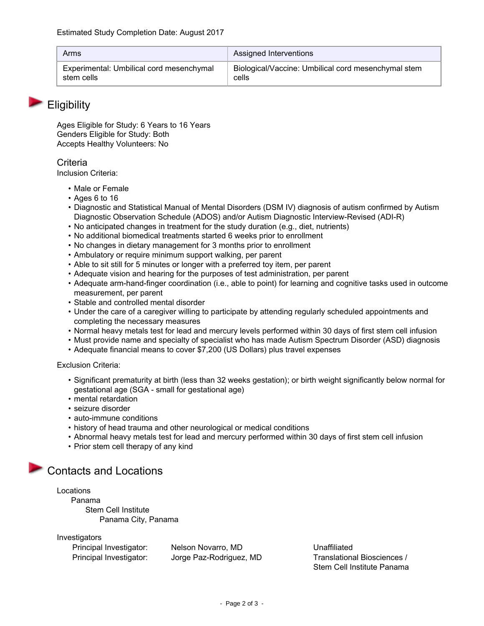| Arms                                     | <b>Assigned Interventions</b>                       |
|------------------------------------------|-----------------------------------------------------|
| Experimental: Umbilical cord mesenchymal | Biological/Vaccine: Umbilical cord mesenchymal stem |
| stem cells                               | cells                                               |

### **Eligibility**

Ages Eligible for Study: 6 Years to 16 Years Genders Eligible for Study: Both Accepts Healthy Volunteers: No

### **Criteria**

Inclusion Criteria:

- Male or Female
- Ages 6 to 16
- Diagnostic and Statistical Manual of Mental Disorders (DSM IV) diagnosis of autism confirmed by Autism Diagnostic Observation Schedule (ADOS) and/or Autism Diagnostic Interview-Revised (ADI-R)
- No anticipated changes in treatment for the study duration (e.g., diet, nutrients)
- No additional biomedical treatments started 6 weeks prior to enrollment
- No changes in dietary management for 3 months prior to enrollment
- Ambulatory or require minimum support walking, per parent
- Able to sit still for 5 minutes or longer with a preferred toy item, per parent
- Adequate vision and hearing for the purposes of test administration, per parent
- Adequate arm-hand-finger coordination (i.e., able to point) for learning and cognitive tasks used in outcome measurement, per parent
- Stable and controlled mental disorder
- Under the care of a caregiver willing to participate by attending regularly scheduled appointments and completing the necessary measures
- Normal heavy metals test for lead and mercury levels performed within 30 days of first stem cell infusion
- Must provide name and specialty of specialist who has made Autism Spectrum Disorder (ASD) diagnosis
- Adequate financial means to cover \$7,200 (US Dollars) plus travel expenses

#### Exclusion Criteria:

- Significant prematurity at birth (less than 32 weeks gestation); or birth weight significantly below normal for gestational age (SGA - small for gestational age)
- mental retardation
- seizure disorder
- auto-immune conditions
- history of head trauma and other neurological or medical conditions
- Abnormal heavy metals test for lead and mercury performed within 30 days of first stem cell infusion
- Prior stem cell therapy of any kind

## Contacts and Locations

Locations Panama Stem Cell Institute Panama City, Panama

Investigators

Principal Investigator: Nelson Novarro, MD Controllectual Unaffiliated

Principal Investigator: Jorge Paz-Rodriguez, MD Translational Biosciences / Stem Cell Institute Panama